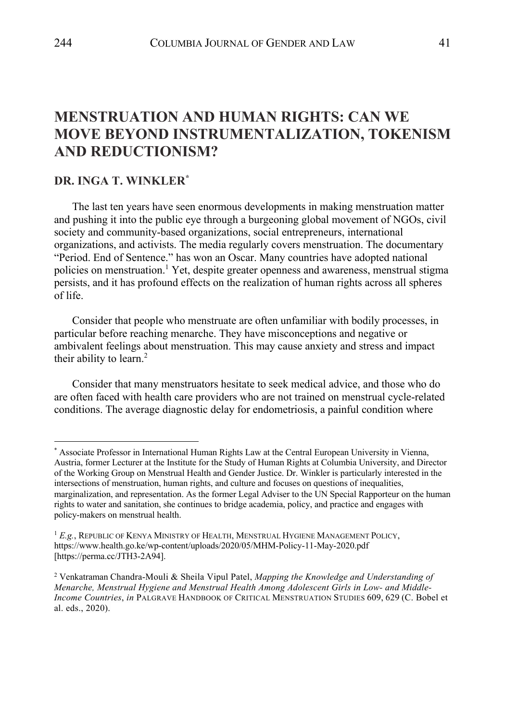# **MENSTRUATION AND HUMAN RIGHTS: CAN WE MOVE BEYOND INSTRUMENTALIZATION, TOKENISM AND REDUCTIONISM?**

## **DR. INGA T. WINKLER\***

The last ten years have seen enormous developments in making menstruation matter and pushing it into the public eye through a burgeoning global movement of NGOs, civil society and community-based organizations, social entrepreneurs, international organizations, and activists. The media regularly covers menstruation. The documentary "Period. End of Sentence." has won an Oscar. Many countries have adopted national policies on menstruation. <sup>1</sup> Yet, despite greater openness and awareness, menstrual stigma persists, and it has profound effects on the realization of human rights across all spheres of life.

Consider that people who menstruate are often unfamiliar with bodily processes, in particular before reaching menarche. They have misconceptions and negative or ambivalent feelings about menstruation. This may cause anxiety and stress and impact their ability to learn. $<sup>2</sup>$ </sup>

Consider that many menstruators hesitate to seek medical advice, and those who do are often faced with health care providers who are not trained on menstrual cycle-related conditions. The average diagnostic delay for endometriosis, a painful condition where

<sup>\*</sup> Associate Professor in International Human Rights Law at the Central European University in Vienna, Austria, former Lecturer at the Institute for the Study of Human Rights at Columbia University, and Director of the Working Group on Menstrual Health and Gender Justice. Dr. Winkler is particularly interested in the intersections of menstruation, human rights, and culture and focuses on questions of inequalities, marginalization, and representation. As the former Legal Adviser to the UN Special Rapporteur on the human rights to water and sanitation, she continues to bridge academia, policy, and practice and engages with policy-makers on menstrual health.

<sup>1</sup> *E.g.*, REPUBLIC OF KENYA MINISTRY OF HEALTH, MENSTRUAL HYGIENE MANAGEMENT POLICY, https://www.health.go.ke/wp-content/uploads/2020/05/MHM-Policy-11-May-2020.pdf [https://perma.cc/JTH3-2A94].

<sup>2</sup> Venkatraman Chandra-Mouli & Sheila Vipul Patel, *Mapping the Knowledge and Understanding of Menarche, Menstrual Hygiene and Menstrual Health Among Adolescent Girls in Low- and Middle-Income Countries*, *in* PALGRAVE HANDBOOK OF CRITICAL MENSTRUATION STUDIES 609, 629 (C. Bobel et al. eds., 2020).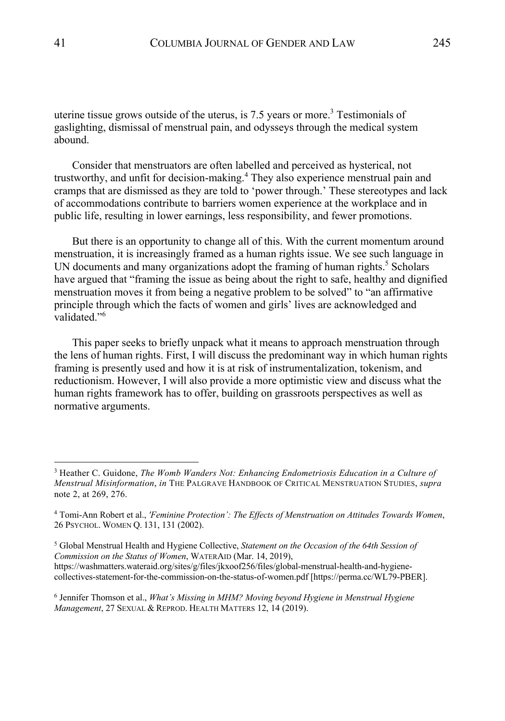uterine tissue grows outside of the uterus, is  $7.5$  years or more.<sup>3</sup> Testimonials of gaslighting, dismissal of menstrual pain, and odysseys through the medical system abound.

Consider that menstruators are often labelled and perceived as hysterical, not trustworthy, and unfit for decision-making.<sup>4</sup> They also experience menstrual pain and cramps that are dismissed as they are told to 'power through.' These stereotypes and lack of accommodations contribute to barriers women experience at the workplace and in public life, resulting in lower earnings, less responsibility, and fewer promotions.

But there is an opportunity to change all of this. With the current momentum around menstruation, it is increasingly framed as a human rights issue. We see such language in UN documents and many organizations adopt the framing of human rights.<sup>5</sup> Scholars have argued that "framing the issue as being about the right to safe, healthy and dignified menstruation moves it from being a negative problem to be solved" to "an affirmative principle through which the facts of women and girls' lives are acknowledged and validated."<sup>6</sup>

This paper seeks to briefly unpack what it means to approach menstruation through the lens of human rights. First, I will discuss the predominant way in which human rights framing is presently used and how it is at risk of instrumentalization, tokenism, and reductionism. However, I will also provide a more optimistic view and discuss what the human rights framework has to offer, building on grassroots perspectives as well as normative arguments.

<sup>3</sup> Heather C. Guidone, *The Womb Wanders Not: Enhancing Endometriosis Education in a Culture of Menstrual Misinformation*, *in* THE PALGRAVE HANDBOOK OF CRITICAL MENSTRUATION STUDIES, *supra*  note 2, at 269, 276.

<sup>4</sup> Tomi-Ann Robert et al., *'Feminine Protection': The Effects of Menstruation on Attitudes Towards Women*, 26 PSYCHOL. WOMEN Q. 131, 131 (2002).

<sup>5</sup> Global Menstrual Health and Hygiene Collective, *Statement on the Occasion of the 64th Session of Commission on the Status of Women*, WATERAID (Mar. 14, 2019), https://washmatters.wateraid.org/sites/g/files/jkxoof256/files/global-menstrual-health-and-hygiene-

collectives-statement-for-the-commission-on-the-status-of-women.pdf [https://perma.cc/WL79-PBER].

<sup>6</sup> Jennifer Thomson et al., *What's Missing in MHM? Moving beyond Hygiene in Menstrual Hygiene Management*, 27 SEXUAL & REPROD. HEALTH MATTERS 12, 14 (2019).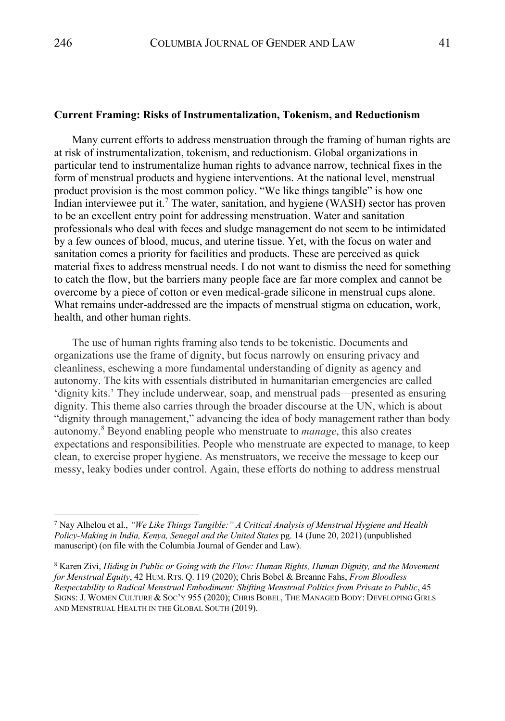#### **Current Framing: Risks of Instrumentalization, Tokenism, and Reductionism**

Many current efforts to address menstruation through the framing of human rights are at risk of instrumentalization, tokenism, and reductionism. Global organizations in particular tend to instrumentalize human rights to advance narrow, technical fixes in the form of menstrual products and hygiene interventions. At the national level, menstrual product provision is the most common policy. "We like things tangible" is how one Indian interviewee put it.<sup>7</sup> The water, sanitation, and hygiene (WASH) sector has proven to be an excellent entry point for addressing menstruation. Water and sanitation professionals who deal with feces and sludge management do not seem to be intimidated by a few ounces of blood, mucus, and uterine tissue. Yet, with the focus on water and sanitation comes a priority for facilities and products. These are perceived as quick material fixes to address menstrual needs. I do not want to dismiss the need for something to catch the flow, but the barriers many people face are far more complex and cannot be overcome by a piece of cotton or even medical-grade silicone in menstrual cups alone. What remains under-addressed are the impacts of menstrual stigma on education, work, health, and other human rights.

The use of human rights framing also tends to be tokenistic. Documents and organizations use the frame of dignity, but focus narrowly on ensuring privacy and cleanliness, eschewing a more fundamental understanding of dignity as agency and autonomy. The kits with essentials distributed in humanitarian emergencies are called 'dignity kits.' They include underwear, soap, and menstrual pads—presented as ensuring dignity. This theme also carries through the broader discourse at the UN, which is about "dignity through management," advancing the idea of body management rather than body autonomy.<sup>8</sup> Beyond enabling people who menstruate to *manage*, this also creates expectations and responsibilities. People who menstruate are expected to manage, to keep clean, to exercise proper hygiene. As menstruators, we receive the message to keep our messy, leaky bodies under control. Again, these efforts do nothing to address menstrual

<sup>7</sup> Nay Alhelou et al., *"We Like Things Tangible:" A Critical Analysis of Menstrual Hygiene and Health Policy-Making in India, Kenya, Senegal and the United States* pg. 14 (June 20, 2021) (unpublished manuscript) (on file with the Columbia Journal of Gender and Law).

<sup>8</sup> Karen Zivi, *Hiding in Public or Going with the Flow: Human Rights, Human Dignity, and the Movement for Menstrual Equity*, 42 HUM. RTS. Q. 119 (2020); Chris Bobel & Breanne Fahs, *From Bloodless Respectability to Radical Menstrual Embodiment: Shifting Menstrual Politics from Private to Public*, 45 SIGNS: J. WOMEN CULTURE & SOC'Y 955 (2020); CHRIS BOBEL, THE MANAGED BODY: DEVELOPING GIRLS AND MENSTRUAL HEALTH IN THE GLOBAL SOUTH (2019).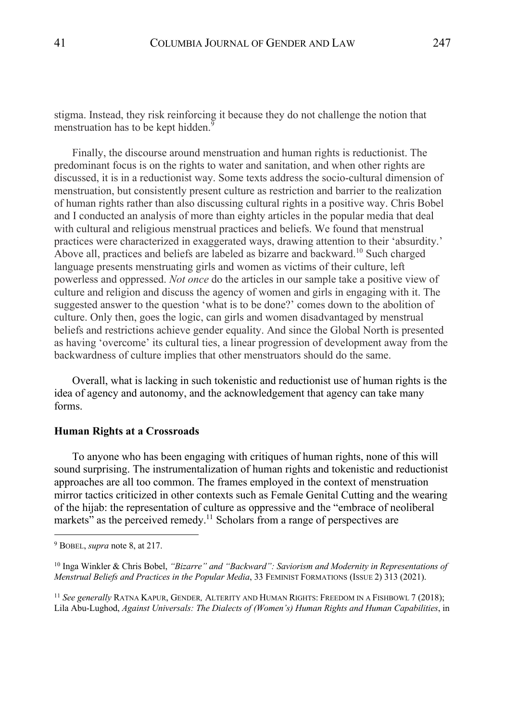stigma. Instead, they risk reinforcing it because they do not challenge the notion that menstruation has to be kept hidden.<sup>9</sup>

Finally, the discourse around menstruation and human rights is reductionist. The predominant focus is on the rights to water and sanitation, and when other rights are discussed, it is in a reductionist way. Some texts address the socio-cultural dimension of menstruation, but consistently present culture as restriction and barrier to the realization of human rights rather than also discussing cultural rights in a positive way. Chris Bobel and I conducted an analysis of more than eighty articles in the popular media that deal with cultural and religious menstrual practices and beliefs. We found that menstrual practices were characterized in exaggerated ways, drawing attention to their 'absurdity.' Above all, practices and beliefs are labeled as bizarre and backward.<sup>10</sup> Such charged language presents menstruating girls and women as victims of their culture, left powerless and oppressed. *Not once* do the articles in our sample take a positive view of culture and religion and discuss the agency of women and girls in engaging with it. The suggested answer to the question 'what is to be done?' comes down to the abolition of culture. Only then, goes the logic, can girls and women disadvantaged by menstrual beliefs and restrictions achieve gender equality. And since the Global North is presented as having 'overcome' its cultural ties, a linear progression of development away from the backwardness of culture implies that other menstruators should do the same.

Overall, what is lacking in such tokenistic and reductionist use of human rights is the idea of agency and autonomy, and the acknowledgement that agency can take many forms.

### **Human Rights at a Crossroads**

To anyone who has been engaging with critiques of human rights, none of this will sound surprising. The instrumentalization of human rights and tokenistic and reductionist approaches are all too common. The frames employed in the context of menstruation mirror tactics criticized in other contexts such as Female Genital Cutting and the wearing of the hijab: the representation of culture as oppressive and the "embrace of neoliberal markets" as the perceived remedy.<sup>11</sup> Scholars from a range of perspectives are

<sup>9</sup> BOBEL, *supra* note 8, at 217.

<sup>10</sup> Inga Winkler & Chris Bobel, *"Bizarre" and "Backward": Saviorism and Modernity in Representations of Menstrual Beliefs and Practices in the Popular Media*, 33 FEMINIST FORMATIONS (ISSUE 2) 313 (2021).

<sup>11</sup> *See generally* RATNA KAPUR, GENDER*,* ALTERITY AND HUMAN RIGHTS: FREEDOM IN A FISHBOWL 7 (2018); Lila Abu-Lughod, *Against Universals: The Dialects of (Women's) Human Rights and Human Capabilities*, in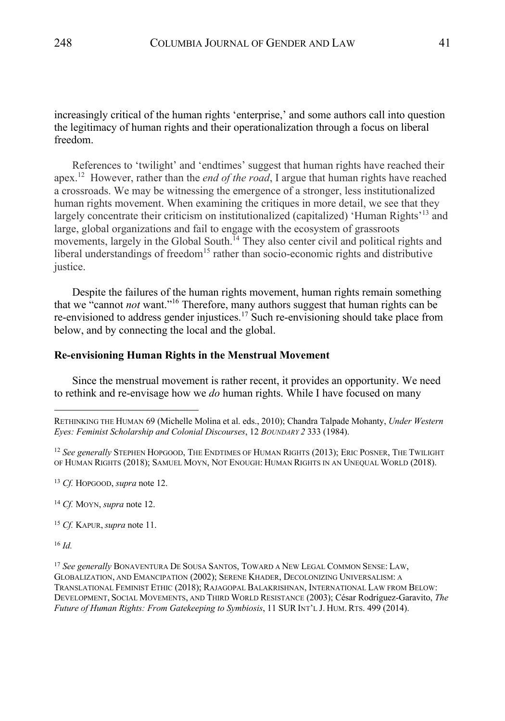increasingly critical of the human rights 'enterprise,' and some authors call into question the legitimacy of human rights and their operationalization through a focus on liberal freedom.

References to 'twilight' and 'endtimes' suggest that human rights have reached their apex.12 However, rather than the *end of the road*, I argue that human rights have reached a crossroads. We may be witnessing the emergence of a stronger, less institutionalized human rights movement. When examining the critiques in more detail, we see that they largely concentrate their criticism on institutionalized (capitalized) 'Human Rights'<sup>13</sup> and large, global organizations and fail to engage with the ecosystem of grassroots movements, largely in the Global South.<sup>14</sup> They also center civil and political rights and liberal understandings of freedom<sup>15</sup> rather than socio-economic rights and distributive justice.

Despite the failures of the human rights movement, human rights remain something that we "cannot *not* want."16 Therefore, many authors suggest that human rights can be re-envisioned to address gender injustices.<sup>17</sup> Such re-envisioning should take place from below, and by connecting the local and the global.

#### **Re-envisioning Human Rights in the Menstrual Movement**

Since the menstrual movement is rather recent, it provides an opportunity. We need to rethink and re-envisage how we *do* human rights. While I have focused on many

<sup>13</sup> *Cf.* HOPGOOD, *supra* note 12.

<sup>14</sup> *Cf.* MOYN, *supra* note 12.

<sup>15</sup> *Cf.* KAPUR,*supra* note 11.

<sup>16</sup> *Id.*

<sup>17</sup> See generally BONAVENTURA DE SOUSA SANTOS, TOWARD A NEW LEGAL COMMON SENSE: LAW, GLOBALIZATION, AND EMANCIPATION (2002); SERENE KHADER, DECOLONIZING UNIVERSALISM: A TRANSLATIONAL FEMINIST ETHIC (2018); RAJAGOPAL BALAKRISHNAN, INTERNATIONAL LAW FROM BELOW: DEVELOPMENT, SOCIAL MOVEMENTS, AND THIRD WORLD RESISTANCE (2003); César Rodríguez-Garavito, *The Future of Human Rights: From Gatekeeping to Symbiosis*, 11 SUR INT'L J. HUM. RTS. 499 (2014).

RETHINKING THE HUMAN 69 (Michelle Molina et al. eds., 2010); Chandra Talpade Mohanty, *Under Western Eyes: Feminist Scholarship and Colonial Discourses*, 12 *BOUNDARY 2* 333 (1984).

<sup>12</sup> *See generally* STEPHEN HOPGOOD, THE ENDTIMES OF HUMAN RIGHTS (2013); ERIC POSNER, THE TWILIGHT OF HUMAN RIGHTS (2018); SAMUEL MOYN, NOT ENOUGH: HUMAN RIGHTS IN AN UNEQUAL WORLD (2018).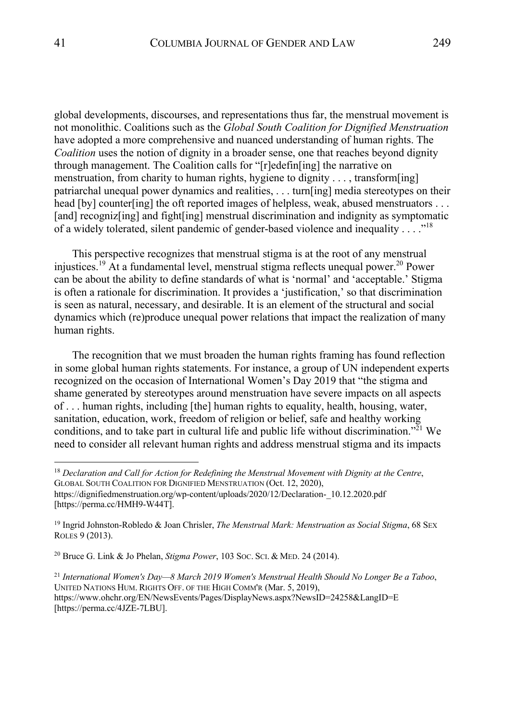global developments, discourses, and representations thus far, the menstrual movement is not monolithic. Coalitions such as the *Global South Coalition for Dignified Menstruation* have adopted a more comprehensive and nuanced understanding of human rights. The *Coalition* uses the notion of dignity in a broader sense, one that reaches beyond dignity through management. The Coalition calls for "[r]edefin[ing] the narrative on menstruation, from charity to human rights, hygiene to dignity . . . , transform[ing] patriarchal unequal power dynamics and realities, . . . turn[ing] media stereotypes on their head [by] counter[ing] the oft reported images of helpless, weak, abused menstruators . . . [and] recogniz[ing] and fight[ing] menstrual discrimination and indignity as symptomatic of a widely tolerated, silent pandemic of gender-based violence and inequality . . . ."18

This perspective recognizes that menstrual stigma is at the root of any menstrual injustices.<sup>19</sup> At a fundamental level, menstrual stigma reflects unequal power.<sup>20</sup> Power can be about the ability to define standards of what is 'normal' and 'acceptable.' Stigma is often a rationale for discrimination. It provides a 'justification,' so that discrimination is seen as natural, necessary, and desirable. It is an element of the structural and social dynamics which (re)produce unequal power relations that impact the realization of many human rights.

The recognition that we must broaden the human rights framing has found reflection in some global human rights statements. For instance, a group of UN independent experts recognized on the occasion of International Women's Day 2019 that "the stigma and shame generated by stereotypes around menstruation have severe impacts on all aspects of . . . human rights, including [the] human rights to equality, health, housing, water, sanitation, education, work, freedom of religion or belief, safe and healthy working conditions, and to take part in cultural life and public life without discrimination."<sup>21</sup> We need to consider all relevant human rights and address menstrual stigma and its impacts

<sup>18</sup> *Declaration and Call for Action for Redefining the Menstrual Movement with Dignity at the Centre*, GLOBAL SOUTH COALITION FOR DIGNIFIED MENSTRUATION (Oct. 12, 2020), https://dignifiedmenstruation.org/wp-content/uploads/2020/12/Declaration-\_10.12.2020.pdf

<sup>[</sup>https://perma.cc/HMH9-W44T].

<sup>19</sup> Ingrid Johnston-Robledo & Joan Chrisler, *The Menstrual Mark: Menstruation as Social Stigma*, 68 SEX ROLES 9 (2013).

<sup>20</sup> Bruce G. Link & Jo Phelan, *Stigma Power*, 103 SOC. SCI. & MED. 24 (2014).

<sup>21</sup> *International Women's Day—8 March 2019 Women's Menstrual Health Should No Longer Be a Taboo*, UNITED NATIONS HUM. RIGHTS OFF. OF THE HIGH COMM'R (Mar. 5, 2019), https://www.ohchr.org/EN/NewsEvents/Pages/DisplayNews.aspx?NewsID=24258&LangID=E [https://perma.cc/4JZE-7LBU].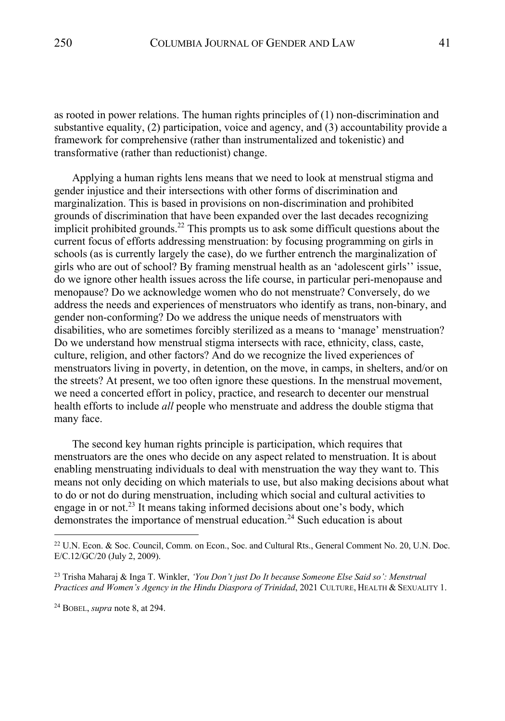as rooted in power relations. The human rights principles of (1) non-discrimination and substantive equality, (2) participation, voice and agency, and (3) accountability provide a framework for comprehensive (rather than instrumentalized and tokenistic) and transformative (rather than reductionist) change.

Applying a human rights lens means that we need to look at menstrual stigma and gender injustice and their intersections with other forms of discrimination and marginalization. This is based in provisions on non-discrimination and prohibited grounds of discrimination that have been expanded over the last decades recognizing implicit prohibited grounds.<sup>22</sup> This prompts us to ask some difficult questions about the current focus of efforts addressing menstruation: by focusing programming on girls in schools (as is currently largely the case), do we further entrench the marginalization of girls who are out of school? By framing menstrual health as an 'adolescent girls'' issue, do we ignore other health issues across the life course, in particular peri-menopause and menopause? Do we acknowledge women who do not menstruate? Conversely, do we address the needs and experiences of menstruators who identify as trans, non-binary, and gender non-conforming? Do we address the unique needs of menstruators with disabilities, who are sometimes forcibly sterilized as a means to 'manage' menstruation? Do we understand how menstrual stigma intersects with race, ethnicity, class, caste, culture, religion, and other factors? And do we recognize the lived experiences of menstruators living in poverty, in detention, on the move, in camps, in shelters, and/or on the streets? At present, we too often ignore these questions. In the menstrual movement, we need a concerted effort in policy, practice, and research to decenter our menstrual health efforts to include *all* people who menstruate and address the double stigma that many face.

The second key human rights principle is participation, which requires that menstruators are the ones who decide on any aspect related to menstruation. It is about enabling menstruating individuals to deal with menstruation the way they want to. This means not only deciding on which materials to use, but also making decisions about what to do or not do during menstruation, including which social and cultural activities to engage in or not.<sup>23</sup> It means taking informed decisions about one's body, which demonstrates the importance of menstrual education.<sup>24</sup> Such education is about

<sup>24</sup> BOBEL, *supra* note 8, at 294.

<sup>22</sup> U.N. Econ. & Soc. Council, Comm. on Econ., Soc. and Cultural Rts., General Comment No. 20, U.N. Doc. E/C.12/GC/20 (July 2, 2009).

<sup>23</sup> Trisha Maharaj & Inga T. Winkler, *'You Don't just Do It because Someone Else Said so': Menstrual Practices and Women's Agency in the Hindu Diaspora of Trinidad*, 2021 CULTURE, HEALTH & SEXUALITY 1.